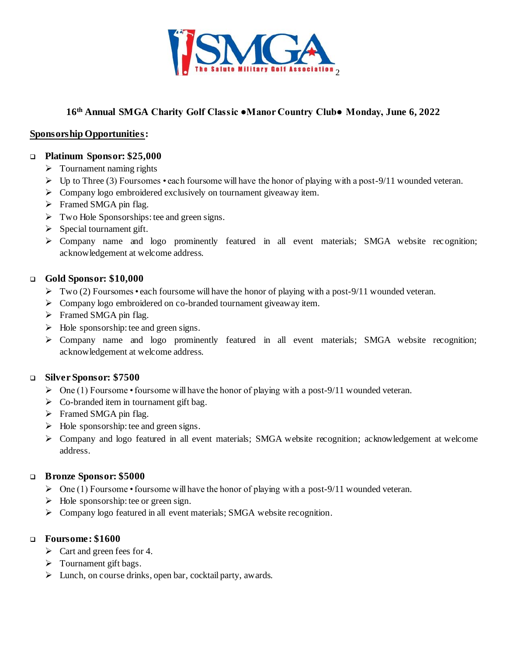

# **16 th Annual SMGA Charity Golf Classic ●Manor Country Club● Monday, June 6, 2022**

## **Sponsorship Opportunities:**

### **Platinum Sponsor: \$25,000**

- $\triangleright$  Tournament naming rights
- $\triangleright$  Up to Three (3) Foursomes each foursome will have the honor of playing with a post-9/11 wounded veteran.
- $\triangleright$  Company logo embroidered exclusively on tournament giveaway item.
- $\triangleright$  Framed SMGA pin flag.
- $\triangleright$  Two Hole Sponsorships: tee and green signs.
- $\triangleright$  Special tournament gift.
- Company name and logo prominently featured in all event materials; SMGA website rec ognition; acknowledgement at welcome address.

### **Gold Sponsor: \$10,000**

- $\triangleright$  Two (2) Foursomes each foursome will have the honor of playing with a post-9/11 wounded veteran.
- $\triangleright$  Company logo embroidered on co-branded tournament giveaway item.
- $\triangleright$  Framed SMGA pin flag.
- $\triangleright$  Hole sponsorship: tee and green signs.
- Company name and logo prominently featured in all event materials; SMGA website recognition; acknowledgement at welcome address.

# **Silver Sponsor: \$7500**

- $\triangleright$  One (1) Foursome foursome will have the honor of playing with a post-9/11 wounded veteran.
- $\triangleright$  Co-branded item in tournament gift bag.
- $\triangleright$  Framed SMGA pin flag.
- $\triangleright$  Hole sponsorship: tee and green signs.
- Company and logo featured in all event materials; SMGA website recognition; acknowledgement at welcome address.

#### **Bronze Sponsor: \$5000**

- $\triangleright$  One (1) Foursome foursome will have the honor of playing with a post-9/11 wounded veteran.
- $\triangleright$  Hole sponsorship: tee or green sign.
- Company logo featured in all event materials; SMGA website recognition.

#### **Foursome: \$1600**

- $\triangleright$  Cart and green fees for 4.
- $\triangleright$  Tournament gift bags.
- $\triangleright$  Lunch, on course drinks, open bar, cocktail party, awards.